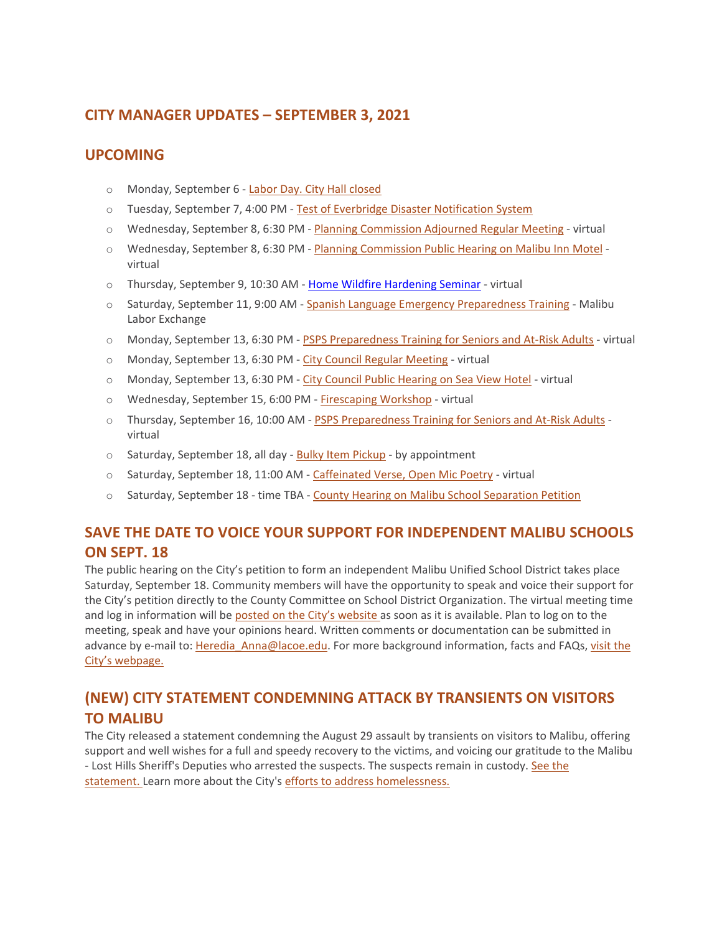# **CITY MANAGER UPDATES – SEPTEMBER 3, 2021**

# **UPCOMING**

- o Monday, September 6 [Labor Day. City Hall closed](https://www.malibucity.org/Calendar.aspx?EID=5677&month=9&year=2021&day=6&calType=0)
- o Tuesday, September 7, 4:00 PM [Test of Everbridge Disaster Notification System](https://malibucity.org/prepmonth)
- o Wednesday, September 8, 6:30 PM [Planning Commission Adjourned Regular Meeting](https://www.malibucity.org/Calendar.aspx?EID=5495&month=9&year=2021&day=8&calType=0) virtual
- o Wednesday, September 8, 6:30 PM [Planning Commission Public Hearing on Malibu Inn Motel](https://www.malibucity.org/Calendar.aspx?EID=5495&month=9&year=2021&day=8&calType=0) virtual
- o Thursday, September 9, 10:30 AM [Home Wildfire Hardening Seminar](https://www.eventbrite.com/o/city-of-malibu-16924309641) virtual
- o Saturday, September 11, 9:00 AM [Spanish Language Emergency Preparedness Training](https://www.themalibufoundation.org/preparedness) Malibu Labor Exchange
- o Monday, September 13, 6:30 PM [PSPS Preparedness Training for Seniors and At-Risk Adults](https://www.eventbrite.com/o/city-of-malibu-16924309641) virtual
- o Monday, September 13, 6:30 PM [City Council Regular Meeting](https://www.malibucity.org/Calendar.aspx?EID=5603&month=9&year=2021&day=13&calType=0) virtual
- o Monday, September 13, 6:30 PM [City Council Public Hearing on Sea View Hotel](https://www.malibucity.org/Calendar.aspx?EID=5603&month=9&year=2021&day=13&calType=0) virtual
- o Wednesday, September 15, 6:00 PM [Firescaping Workshop](https://www.malibucity.org/Calendar.aspx?EID=5794&month=9&year=2021&day=15&calType=0) virtual
- o Thursday, September 16, 10:00 AM [PSPS Preparedness Training for Seniors and At-Risk Adults](https://www.eventbrite.com/o/city-of-malibu-16924309641) virtual
- o Saturday, September 18, all day [Bulky Item Pickup](https://www.malibucity.org/Calendar.aspx?EID=395&month=9&year=2021&day=18&calType=0) by appointment
- o Saturday, September 18, 11:00 AM [Caffeinated Verse, Open Mic Poetry](https://www.malibucity.org/Calendar.aspx?EID=6066&month=9&year=2021&day=18&calType=0) virtual
- o Saturday, September 18 time TBA [County Hearing on Malibu School Separation Petition](https://www.malibucity.org/musd)

# **SAVE THE DATE TO VOICE YOUR SUPPORT FOR INDEPENDENT MALIBU SCHOOLS ON SEPT. 18**

The public hearing on the City's petition to form an independent Malibu Unified School District takes place Saturday, September 18. Community members will have the opportunity to speak and voice their support for the City's petition directly to the County Committee on School District Organization. The virtual meeting time and log in information will be [posted on the City's website](https://www.malibucity.org/musd) as soon as it is available. Plan to log on to the meeting, speak and have your opinions heard. Written comments or documentation can be submitted in advance by e-mail to: [Heredia\\_Anna@lacoe.edu.](mailto:Heredia_Anna@lacoe.edu) For more background information, facts and FAQs, visit the [City's webpage.](https://www.malibucity.org/musd)

# **(NEW) CITY STATEMENT CONDEMNING ATTACK BY TRANSIENTS ON VISITORS TO MALIBU**

The City released a statement condemning the August 29 assault by transients on visitors to Malibu, offering support and well wishes for a full and speedy recovery to the victims, and voicing our gratitude to the Malibu - Lost Hills Sheriff's Deputies who arrested the suspects. The suspects remain in custody. [See the](https://www.malibucity.org/CivicAlerts.aspx?AID=1327)  [statement.](https://www.malibucity.org/CivicAlerts.aspx?AID=1327) Learn more about the City's [efforts to address homelessness.](http://www.malibucity.org/homelessness)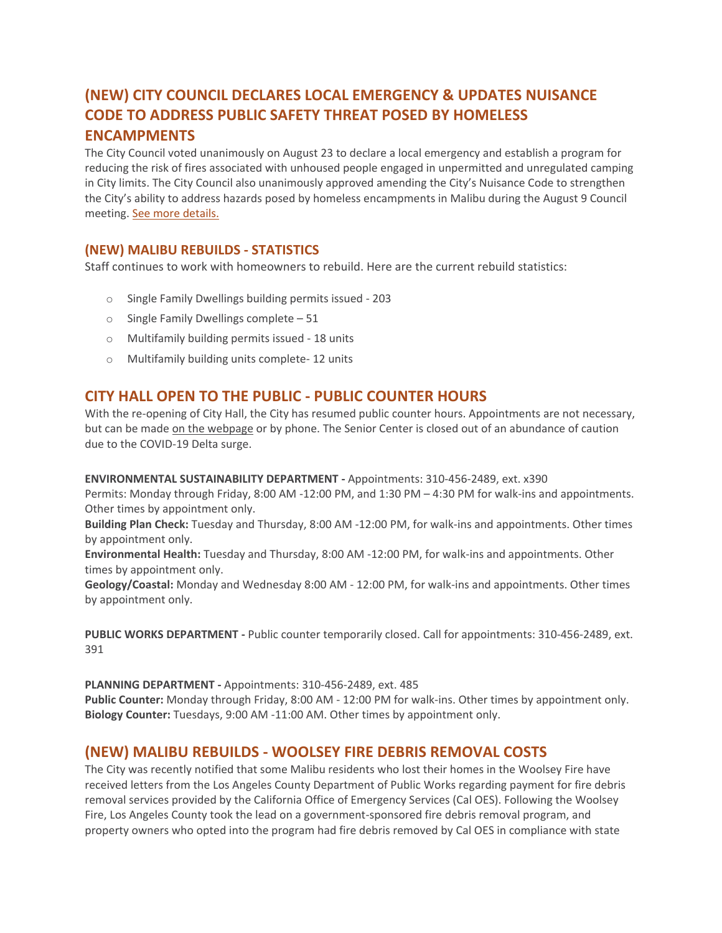# **(NEW) CITY COUNCIL DECLARES LOCAL EMERGENCY & UPDATES NUISANCE CODE TO ADDRESS PUBLIC SAFETY THREAT POSED BY HOMELESS ENCAMPMENTS**

The City Council voted unanimously on August 23 to declare a local emergency and establish a program for reducing the risk of fires associated with unhoused people engaged in unpermitted and unregulated camping in City limits. The City Council also unanimously approved amending the City's Nuisance Code to strengthen the City's ability to address hazards posed by homeless encampments in Malibu during the August 9 Council meeting. [See more details.](https://www.malibucity.org/CivicAlerts.aspx?AID=1314)

#### **(NEW) MALIBU REBUILDS - STATISTICS**

Staff continues to work with homeowners to rebuild. Here are the current rebuild statistics:

- o Single Family Dwellings building permits issued 203
- o Single Family Dwellings complete 51
- o Multifamily building permits issued 18 units
- o Multifamily building units complete- 12 units

#### **CITY HALL OPEN TO THE PUBLIC - PUBLIC COUNTER HOURS**

With the re-opening of City Hall, the City has resumed public counter hours. Appointments are not necessary, but can be made [on the webpage](https://www.malibucity.org/appointments) or by phone. The Senior Center is closed out of an abundance of caution due to the COVID-19 Delta surge.

#### **ENVIRONMENTAL SUSTAINABILITY DEPARTMENT -** Appointments: 310-456-2489, ext. x390

Permits: Monday through Friday, 8:00 AM -12:00 PM, and 1:30 PM – 4:30 PM for walk-ins and appointments. Other times by appointment only.

**Building Plan Check:** Tuesday and Thursday, 8:00 AM -12:00 PM, for walk-ins and appointments. Other times by appointment only.

**Environmental Health:** Tuesday and Thursday, 8:00 AM -12:00 PM, for walk-ins and appointments. Other times by appointment only.

**Geology/Coastal:** Monday and Wednesday 8:00 AM - 12:00 PM, for walk-ins and appointments. Other times by appointment only.

**PUBLIC WORKS DEPARTMENT -** Public counter temporarily closed. Call for appointments: 310-456-2489, ext. 391

**PLANNING DEPARTMENT -** Appointments: 310-456-2489, ext. 485

**Public Counter:** Monday through Friday, 8:00 AM - 12:00 PM for walk-ins. Other times by appointment only. **Biology Counter:** Tuesdays, 9:00 AM -11:00 AM. Other times by appointment only.

#### **(NEW) MALIBU REBUILDS - WOOLSEY FIRE DEBRIS REMOVAL COSTS**

The City was recently notified that some Malibu residents who lost their homes in the Woolsey Fire have received letters from the Los Angeles County Department of Public Works regarding payment for fire debris removal services provided by the California Office of Emergency Services (Cal OES). Following the Woolsey Fire, Los Angeles County took the lead on a government-sponsored fire debris removal program, and property owners who opted into the program had fire debris removed by Cal OES in compliance with state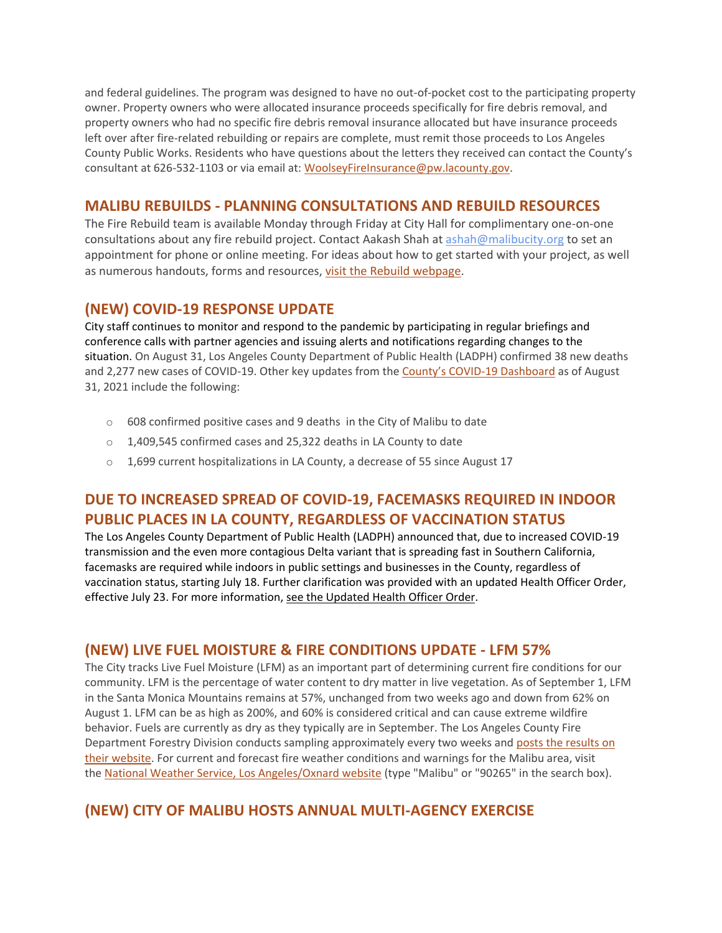and federal guidelines. The program was designed to have no out-of-pocket cost to the participating property owner. Property owners who were allocated insurance proceeds specifically for fire debris removal, and property owners who had no specific fire debris removal insurance allocated but have insurance proceeds left over after fire-related rebuilding or repairs are complete, must remit those proceeds to Los Angeles County Public Works. Residents who have questions about the letters they received can contact the County's consultant at 626-532-1103 or via email at: [WoolseyFireInsurance@pw.lacounty.gov.](mailto:WoolseyFireInsurance@pw.lacounty.gov)

## **MALIBU REBUILDS - PLANNING CONSULTATIONS AND REBUILD RESOURCES**

The Fire Rebuild team is available Monday through Friday at City Hall for complimentary one-on-one consultations about any fire rebuild project. Contact Aakash Shah at [ashah@malibucity.org](mailto:ashah@malibucity.org) to set an appointment for phone or online meeting. For ideas about how to get started with your project, as well as numerous handouts, forms and resources, visit the Rebuild [webpage.](https://www.malibucity.org/901/Malibu-Rebuilds)

#### **(NEW) COVID-19 RESPONSE UPDATE**

City staff continues to monitor and respond to the pandemic by participating in regular briefings and conference calls with partner agencies and issuing alerts and notifications regarding changes to the situation. On August 31, Los Angeles County Department of Public Health (LADPH) confirmed 38 new deaths and 2,277 new cases of COVID-19. Other key updates from the [County's COVID](http://publichealth.lacounty.gov/media/coronavirus/data/index.htm)-19 Dashboard as of August 31, 2021 include the following:

- o 608 confirmed positive cases and 9 deaths in the City of Malibu to date
- o 1,409,545 confirmed cases and 25,322 deaths in LA County to date
- o 1,699 current hospitalizations in LA County, a decrease of 55 since August 17

# **DUE TO INCREASED SPREAD OF COVID-19, FACEMASKS REQUIRED IN INDOOR PUBLIC PLACES IN LA COUNTY, REGARDLESS OF VACCINATION STATUS**

The Los Angeles County Department of Public Health (LADPH) announced that, due to increased COVID-19 transmission and the even more contagious Delta variant that is spreading fast in Southern California, facemasks are required while indoors in public settings and businesses in the County, regardless of vaccination status, starting July 18. Further clarification was provided with an updated Health Officer Order, effective July 23. For more information, [see the Updated Health Officer Order.](http://publichealth.lacounty.gov/media/coronavirus/docs/HOO/HOO_SaferReturnWorkCommunity.pdf)

## **(NEW) LIVE FUEL MOISTURE & FIRE CONDITIONS UPDATE - LFM 57%**

The City tracks Live Fuel Moisture (LFM) as an important part of determining current fire conditions for our community. LFM is the percentage of water content to dry matter in live vegetation. As of September 1, LFM in the Santa Monica Mountains remains at 57%, unchanged from two weeks ago and down from 62% on August 1. LFM can be as high as 200%, and 60% is considered critical and can cause extreme wildfire behavior. Fuels are currently as dry as they typically are in September. The Los Angeles County Fire Department Forestry Division conducts sampling approximately every two weeks and [posts the results on](https://fire.lacounty.gov/fire-weather-danger)  [their website.](https://fire.lacounty.gov/fire-weather-danger) For current and forecast fire weather conditions and warnings for the Malibu area, visit the [National Weather Service, Los Angeles/Oxnard website](https://www.weather.gov/lox/) (type "Malibu" or "90265" in the search box).

# **(NEW) CITY OF MALIBU HOSTS ANNUAL MULTI-AGENCY EXERCISE**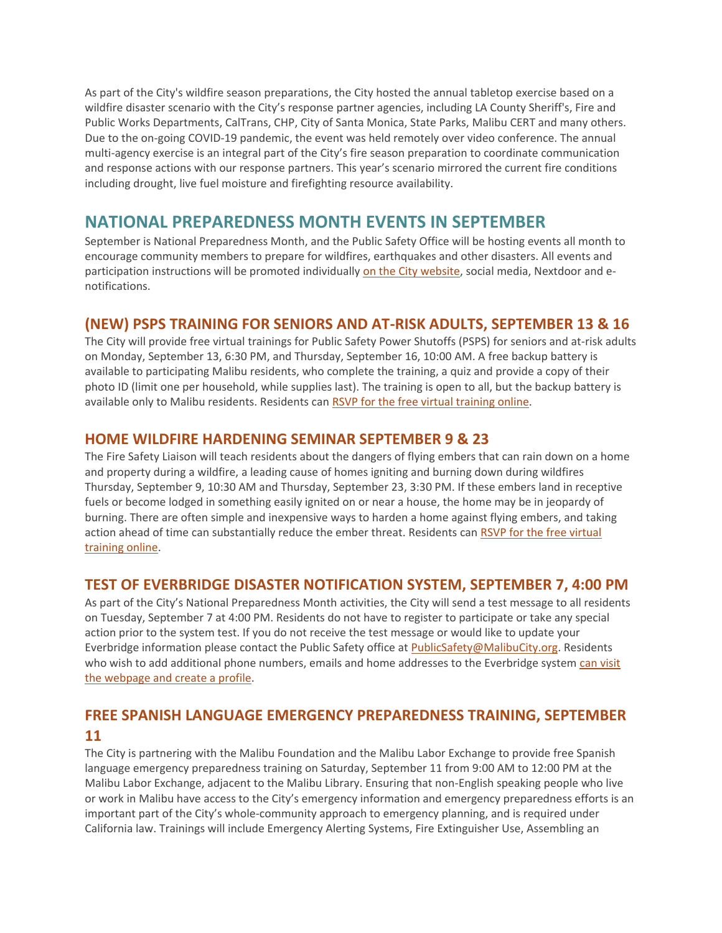As part of the City's wildfire season preparations, the City hosted the annual tabletop exercise based on a wildfire disaster scenario with the City's response partner agencies, including LA County Sheriff's, Fire and Public Works Departments, CalTrans, CHP, City of Santa Monica, State Parks, Malibu CERT and many others. Due to the on-going COVID-19 pandemic, the event was held remotely over video conference. The annual multi-agency exercise is an integral part of the City's fire season preparation to coordinate communication and response actions with our response partners. This year's scenario mirrored the current fire conditions including drought, live fuel moisture and firefighting resource availability.

# **NATIONAL PREPAREDNESS MONTH EVENTS IN SEPTEMBER**

September is National Preparedness Month, and the Public Safety Office will be hosting events all month to encourage community members to prepare for wildfires, earthquakes and other disasters. All events and participation instructions will be promoted individually [on the City website,](https://www.malibucity.org/prepmonth) social media, Nextdoor and enotifications.

## **(NEW) PSPS TRAINING FOR SENIORS AND AT-RISK ADULTS, SEPTEMBER 13 & 16**

The City will provide free virtual trainings for Public Safety Power Shutoffs (PSPS) for seniors and at-risk adults on Monday, September 13, 6:30 PM, and Thursday, September 16, 10:00 AM. A free backup battery is available to participating Malibu residents, who complete the training, a quiz and provide a copy of their photo ID (limit one per household, while supplies last). The training is open to all, but the backup battery is available only to Malibu residents. Residents can [RSVP for the free virtual training online.](https://www.eventbrite.com/o/city-of-malibu-16924309641)

#### **HOME WILDFIRE HARDENING SEMINAR SEPTEMBER 9 & 23**

The Fire Safety Liaison will teach residents about the dangers of flying embers that can rain down on a home and property during a wildfire, a leading cause of homes igniting and burning down during wildfires Thursday, September 9, 10:30 AM and Thursday, September 23, 3:30 PM. If these embers land in receptive fuels or become lodged in something easily ignited on or near a house, the home may be in jeopardy of burning. There are often simple and inexpensive ways to harden a home against flying embers, and taking action ahead of time can substantially reduce the ember threat. Residents can [RSVP for the free virtual](https://www.eventbrite.com/o/city-of-malibu-16924309641)  [training online.](https://www.eventbrite.com/o/city-of-malibu-16924309641)

#### **TEST OF EVERBRIDGE DISASTER NOTIFICATION SYSTEM, SEPTEMBER 7, 4:00 PM**

As part of the City's National Preparedness Month activities, the City will send a test message to all residents on Tuesday, September 7 at 4:00 PM. Residents do not have to register to participate or take any special action prior to the system test. If you do not receive the test message or would like to update your Everbridge information please contact the Public Safety office at [PublicSafety@MalibuCity.org.](mailto:PublicSafety@MalibuCity.org) Residents who wish to add additional phone numbers, emails and home addresses to the Everbridge system [can visit](http://www.malibucity.org/disasternotifications)  [the webpage and create a profile.](http://www.malibucity.org/disasternotifications)

# **FREE SPANISH LANGUAGE EMERGENCY PREPAREDNESS TRAINING, SEPTEMBER 11**

The City is partnering with the Malibu Foundation and the Malibu Labor Exchange to provide free Spanish language emergency preparedness training on Saturday, September 11 from 9:00 AM to 12:00 PM at the Malibu Labor Exchange, adjacent to the Malibu Library. Ensuring that non-English speaking people who live or work in Malibu have access to the City's emergency information and emergency preparedness efforts is an important part of the City's whole-community approach to emergency planning, and is required under California law. Trainings will include Emergency Alerting Systems, Fire Extinguisher Use, Assembling an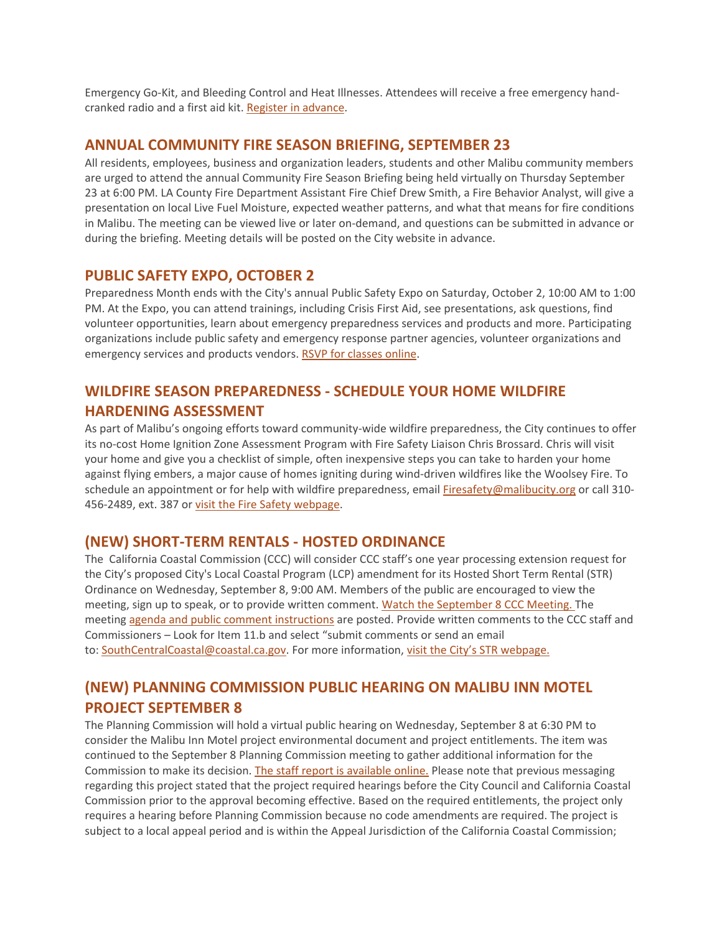Emergency Go-Kit, and Bleeding Control and Heat Illnesses. Attendees will receive a free emergency handcranked radio and a first aid kit. [Register in advance.](http://www.themalibufoundation.org/preparedness)

#### **ANNUAL COMMUNITY FIRE SEASON BRIEFING, SEPTEMBER 23**

All residents, employees, business and organization leaders, students and other Malibu community members are urged to attend the annual Community Fire Season Briefing being held virtually on Thursday September 23 at 6:00 PM. LA County Fire Department Assistant Fire Chief Drew Smith, a Fire Behavior Analyst, will give a presentation on local Live Fuel Moisture, expected weather patterns, and what that means for fire conditions in Malibu. The meeting can be viewed live or later on-demand, and questions can be submitted in advance or during the briefing. Meeting details will be posted on the City website in advance.

#### **PUBLIC SAFETY EXPO, OCTOBER 2**

Preparedness Month ends with the City's annual Public Safety Expo on Saturday, October 2, 10:00 AM to 1:00 PM. At the Expo, you can attend trainings, including Crisis First Aid, see presentations, ask questions, find volunteer opportunities, learn about emergency preparedness services and products and more. Participating organizations include public safety and emergency response partner agencies, volunteer organizations and emergency services and products vendors. [RSVP for classes online.](http://www.malibusafety.eventbrite.com/)

## **WILDFIRE SEASON PREPAREDNESS - SCHEDULE YOUR HOME WILDFIRE HARDENING ASSESSMENT**

As part of Malibu's ongoing efforts toward community-wide wildfire preparedness, the City continues to offer its no-cost Home Ignition Zone Assessment Program with Fire Safety Liaison Chris Brossard. Chris will visit your home and give you a checklist of simple, often inexpensive steps you can take to harden your home against flying embers, a major cause of homes igniting during wind-driven wildfires like the Woolsey Fire. To schedule an appointment or for help with wildfire preparedness, email [Firesafety@malibucity.org](mailto:Firesafety@malibucity.org) or call 310-456-2489, ext. 387 or [visit the Fire Safety webpage.](https://www.malibucity.org/952/Fire-Safety)

#### **(NEW) SHORT-TERM RENTALS - HOSTED ORDINANCE**

The California Coastal Commission (CCC) will consider CCC staff's one year processing extension request for the City's proposed City's Local Coastal Program (LCP) amendment for its Hosted Short Term Rental (STR) Ordinance on Wednesday, September 8, 9:00 AM. Members of the public are encouraged to view the meeting, sign up to speak, or to provide written comment. [Watch the September 8 CCC Meeting.](https://cal-span.org/unipage/index.php?site=cal-span&meeting=3144&owner=CCC) The meeting [agenda and public comment instructions](https://www.coastal.ca.gov/meetings/agenda/#/2021/9) are posted. Provide written comments to the CCC staff and Commissioners – Look for Item 11.b and select "submit comments or send an email to: [SouthCentralCoastal@coastal.ca.gov.](mailto:SouthCentralCoastal@coastal.ca.gov) For more information, [visit the City's STR webpage.](https://www.malibucity.org/1070/STR-Ordinances-In-Progress)

# **(NEW) PLANNING COMMISSION PUBLIC HEARING ON MALIBU INN MOTEL PROJECT SEPTEMBER 8**

The Planning Commission will hold a virtual public hearing on Wednesday, September 8 at 6:30 PM to consider the Malibu Inn Motel project environmental document and project entitlements. The item was continued to the September 8 Planning Commission meeting to gather additional information for the Commission to make its decision. [The staff report is available online.](https://www.malibucity.org/AgendaCenter/ViewFile/Agenda/_09082021-1754?html=true) Please note that previous messaging regarding this project stated that the project required hearings before the City Council and California Coastal Commission prior to the approval becoming effective. Based on the required entitlements, the project only requires a hearing before Planning Commission because no code amendments are required. The project is subject to a local appeal period and is within the Appeal Jurisdiction of the California Coastal Commission;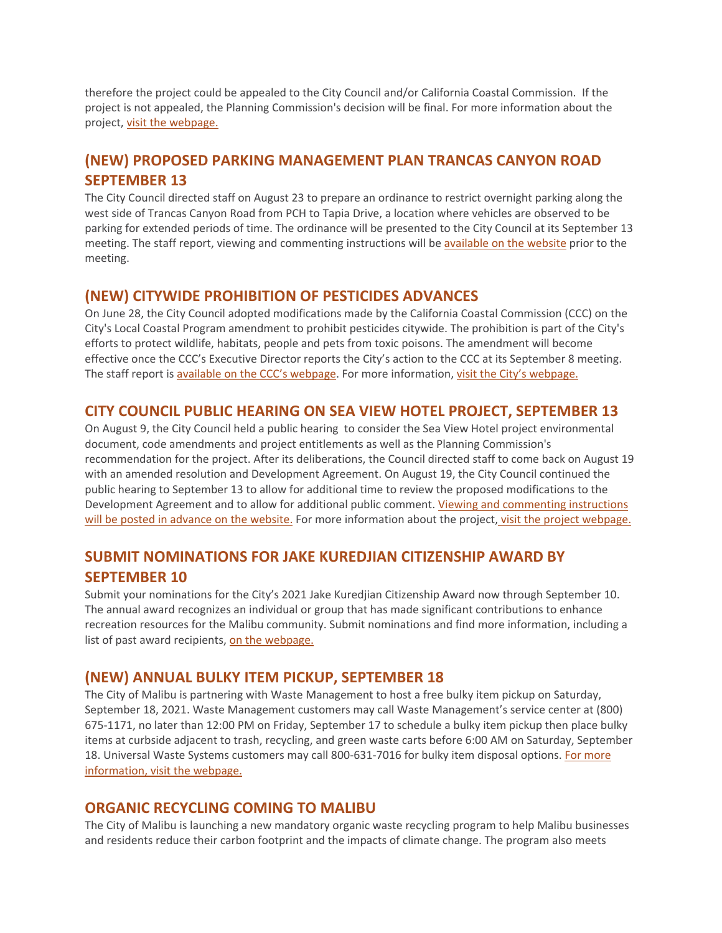therefore the project could be appealed to the City Council and/or California Coastal Commission. If the project is not appealed, the Planning Commission's decision will be final. For more information about the project, visit the webpage.

# **(NEW) PROPOSED PARKING MANAGEMENT PLAN TRANCAS CANYON ROAD SEPTEMBER 13**

The City Council directed staff on August 23 to prepare an ordinance to restrict overnight parking along the west side of Trancas Canyon Road from PCH to Tapia Drive, a location where vehicles are observed to be parking for extended periods of time. The ordinance will be presented to the City Council at its September 13 meeting. The staff report, viewing and commenting instructions will be available on the website prior to the meeting.

#### **(NEW) CITYWIDE PROHIBITION OF PESTICIDES ADVANCES**

On June 28, the City Council adopted modifications made by the California Coastal Commission (CCC) on the City's Local Coastal Program amendment to prohibit pesticides citywide. The prohibition is part of the City's efforts to protect wildlife, habitats, people and pets from toxic poisons. The amendment will become effective once the CCC's Executive Director reports the City's action to the CCC at its September 8 meeting. The staff report is available on the CCC's webpage. For more information, visit the City's webpage.

#### **CITY COUNCIL PUBLIC HEARING ON SEA VIEW HOTEL PROJECT, SEPTEMBER 13**

On August 9, the City Council held a public hearing to consider the Sea View Hotel project environmental document, code amendments and project entitlements as well as the Planning Commission's recommendation for the project. After its deliberations, the Council directed staff to come back on August 19 with an amended resolution and Development Agreement. On August 19, the City Council continued the public hearing to September 13 to allow for additional time to review the proposed modifications to the Development Agreement and to allow for additional public comment. Viewing and commenting instructions will be posted in advance on the website. For more information about the project, visit the project webpage.

# **SUBMIT NOMINATIONS FOR JAKE KUREDJIAN CITIZENSHIP AWARD BY SEPTEMBER 10**

Submit your nominations for the City's 2021 Jake Kuredjian Citizenship Award now through September 10. The annual award recognizes an individual or group that has made significant contributions to enhance recreation resources for the Malibu community. Submit nominations and find more information, including a list of past award recipients, on the webpage.

#### **(NEW) ANNUAL BULKY ITEM PICKUP, SEPTEMBER 18**

The City of Malibu is partnering with Waste Management to host a free bulky item pickup on Saturday, September 18, 2021. Waste Management customers may call Waste Management's service center at (800) 675-1171, no later than 12:00 PM on Friday, September 17 to schedule a bulky item pickup then place bulky items at curbside adjacent to trash, recycling, and green waste carts before 6:00 AM on Saturday, September 18. Universal Waste Systems customers may call 800-631-7016 for bulky item disposal options. For more information, visit the webpage.

## **ORGANIC RECYCLING COMING TO MALIBU**

The City of Malibu is launching a new mandatory organic waste recycling program to help Malibu businesses and residents reduce their carbon footprint and the impacts of climate change. The program also meets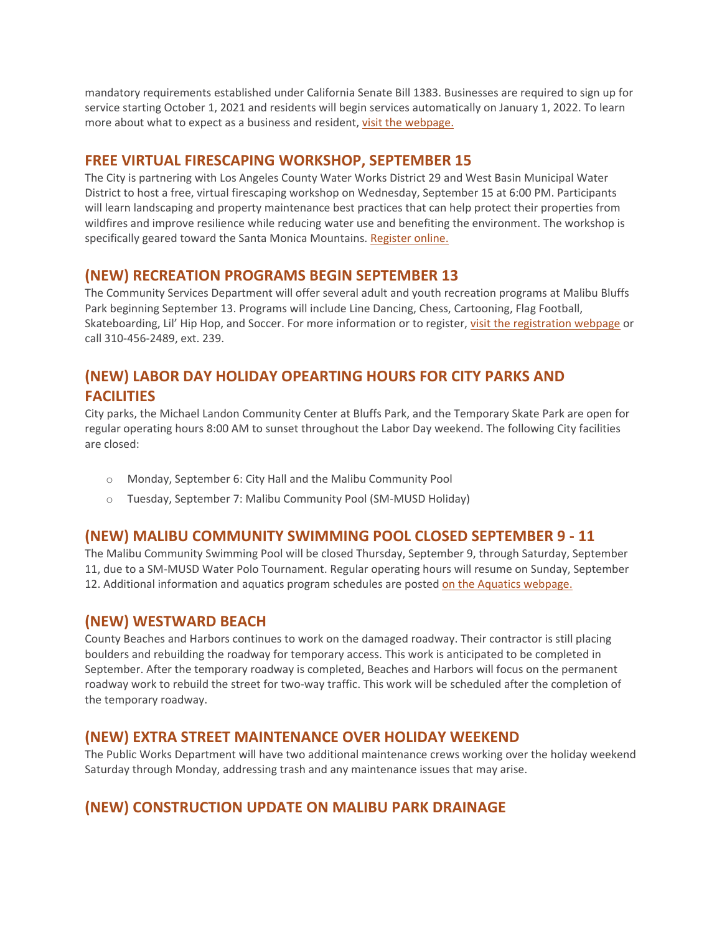mandatory requirements established under California Senate Bill 1383. Businesses are required to sign up for service starting October 1, 2021 and residents will begin services automatically on January 1, 2022. To learn more about what to expect as a business and resident, visit the webpage.

### **FREE VIRTUAL FIRESCAPING WORKSHOP, SEPTEMBER 15**

The City is partnering with Los Angeles County Water Works District 29 and West Basin Municipal Water District to host a free, virtual firescaping workshop on Wednesday, September 15 at 6:00 PM. Participants will learn landscaping and property maintenance best practices that can help protect their properties from wildfires and improve resilience while reducing water use and benefiting the environment. The workshop is specifically geared toward the Santa Monica Mountains. Register online.

#### **(NEW) RECREATION PROGRAMS BEGIN SEPTEMBER 13**

The Community Services Department will offer several adult and youth recreation programs at Malibu Bluffs Park beginning September 13. Programs will include Line Dancing, Chess, Cartooning, Flag Football, Skateboarding, Lil' Hip Hop, and Soccer. For more information or to register, visit the registration webpage or call 310-456-2489, ext. 239.

# **(NEW) LABOR DAY HOLIDAY OPEARTING HOURS FOR CITY PARKS AND FACILITIES**

City parks, the Michael Landon Community Center at Bluffs Park, and the Temporary Skate Park are open for regular operating hours 8:00 AM to sunset throughout the Labor Day weekend. The following City facilities are closed:

- o Monday, September 6: City Hall and the Malibu Community Pool
- o Tuesday, September 7: Malibu Community Pool (SM-MUSD Holiday)

#### **(NEW) MALIBU COMMUNITY SWIMMING POOL CLOSED SEPTEMBER 9 - 11**

The Malibu Community Swimming Pool will be closed Thursday, September 9, through Saturday, September 11, due to a SM-MUSD Water Polo Tournament. Regular operating hours will resume on Sunday, September 12. Additional information and aquatics program schedules are posted on the Aquatics webpage.

#### **(NEW) WESTWARD BEACH**

County Beaches and Harbors continues to work on the damaged roadway. Their contractor is still placing boulders and rebuilding the roadway for temporary access. This work is anticipated to be completed in September. After the temporary roadway is completed, Beaches and Harbors will focus on the permanent roadway work to rebuild the street for two-way traffic. This work will be scheduled after the completion of the temporary roadway.

#### **(NEW) EXTRA STREET MAINTENANCE OVER HOLIDAY WEEKEND**

The Public Works Department will have two additional maintenance crews working over the holiday weekend Saturday through Monday, addressing trash and any maintenance issues that may arise.

## **(NEW) CONSTRUCTION UPDATE ON MALIBU PARK DRAINAGE**